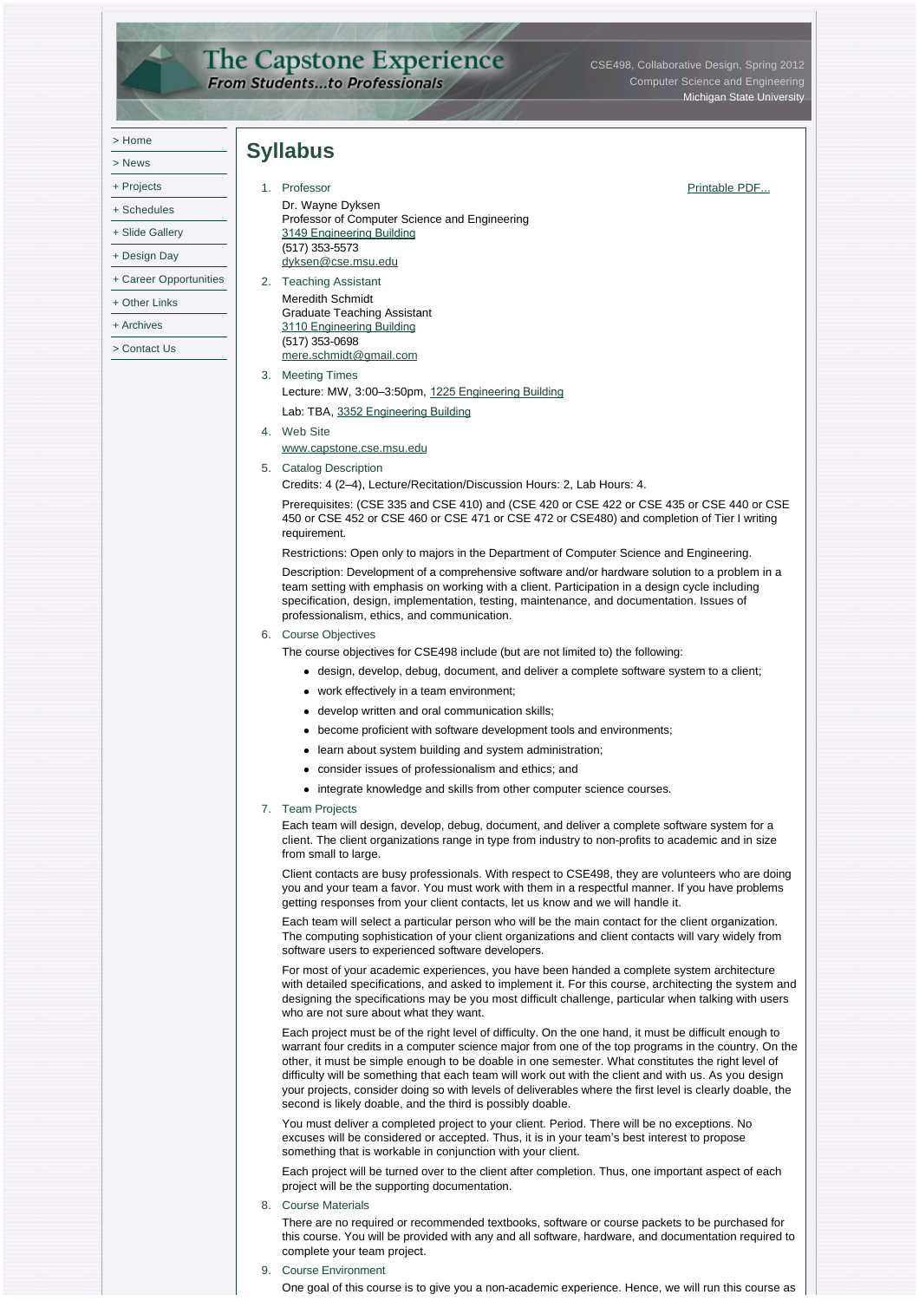## The Capstone Experience<br>From Students...to Professionals

CSE498, Collaborative Design, Spring 2012 Computer Science and Engineering Michigan State University

|              | <b>Syllabus</b>                                                                                                                                                                                                                                                                                                                                                                                                                                                                                                                                                                                        |               |
|--------------|--------------------------------------------------------------------------------------------------------------------------------------------------------------------------------------------------------------------------------------------------------------------------------------------------------------------------------------------------------------------------------------------------------------------------------------------------------------------------------------------------------------------------------------------------------------------------------------------------------|---------------|
| + Projects   | 1. Professor                                                                                                                                                                                                                                                                                                                                                                                                                                                                                                                                                                                           | Printable PDF |
|              | Dr. Wayne Dyksen                                                                                                                                                                                                                                                                                                                                                                                                                                                                                                                                                                                       |               |
|              | Professor of Computer Science and Engineering                                                                                                                                                                                                                                                                                                                                                                                                                                                                                                                                                          |               |
|              | 3149 Engineering Building<br>(517) 353-5573                                                                                                                                                                                                                                                                                                                                                                                                                                                                                                                                                            |               |
|              | dyksen@cse.msu.edu                                                                                                                                                                                                                                                                                                                                                                                                                                                                                                                                                                                     |               |
|              | 2. Teaching Assistant                                                                                                                                                                                                                                                                                                                                                                                                                                                                                                                                                                                  |               |
|              | Meredith Schmidt                                                                                                                                                                                                                                                                                                                                                                                                                                                                                                                                                                                       |               |
|              | Graduate Teaching Assistant<br>3110 Engineering Building                                                                                                                                                                                                                                                                                                                                                                                                                                                                                                                                               |               |
|              | $(517)$ 353-0698                                                                                                                                                                                                                                                                                                                                                                                                                                                                                                                                                                                       |               |
| > Contact Us | mere.schmidt@gmail.com                                                                                                                                                                                                                                                                                                                                                                                                                                                                                                                                                                                 |               |
|              | 3. Meeting Times<br>Lecture: MW, 3:00–3:50pm, 1225 Engineering Building                                                                                                                                                                                                                                                                                                                                                                                                                                                                                                                                |               |
|              | Lab: TBA, 3352 Engineering Building                                                                                                                                                                                                                                                                                                                                                                                                                                                                                                                                                                    |               |
|              | 4. Web Site                                                                                                                                                                                                                                                                                                                                                                                                                                                                                                                                                                                            |               |
|              | www.capstone.cse.msu.edu                                                                                                                                                                                                                                                                                                                                                                                                                                                                                                                                                                               |               |
|              | 5. Catalog Description                                                                                                                                                                                                                                                                                                                                                                                                                                                                                                                                                                                 |               |
|              | Credits: 4 (2–4), Lecture/Recitation/Discussion Hours: 2, Lab Hours: 4.                                                                                                                                                                                                                                                                                                                                                                                                                                                                                                                                |               |
|              | Prerequisites: (CSE 335 and CSE 410) and (CSE 420 or CSE 422 or CSE 435 or CSE 440 or CSE<br>450 or CSE 452 or CSE 460 or CSE 471 or CSE 472 or CSE480) and completion of Tier I writing<br>requirement.                                                                                                                                                                                                                                                                                                                                                                                               |               |
|              | Restrictions: Open only to majors in the Department of Computer Science and Engineering.                                                                                                                                                                                                                                                                                                                                                                                                                                                                                                               |               |
|              | Description: Development of a comprehensive software and/or hardware solution to a problem in a<br>team setting with emphasis on working with a client. Participation in a design cycle including<br>specification, design, implementation, testing, maintenance, and documentation. Issues of<br>professionalism, ethics, and communication.                                                                                                                                                                                                                                                          |               |
|              | 6. Course Objectives                                                                                                                                                                                                                                                                                                                                                                                                                                                                                                                                                                                   |               |
|              | The course objectives for CSE498 include (but are not limited to) the following:                                                                                                                                                                                                                                                                                                                                                                                                                                                                                                                       |               |
|              | • design, develop, debug, document, and deliver a complete software system to a client;                                                                                                                                                                                                                                                                                                                                                                                                                                                                                                                |               |
|              | • work effectively in a team environment;                                                                                                                                                                                                                                                                                                                                                                                                                                                                                                                                                              |               |
|              | • develop written and oral communication skills;                                                                                                                                                                                                                                                                                                                                                                                                                                                                                                                                                       |               |
|              | • become proficient with software development tools and environments;                                                                                                                                                                                                                                                                                                                                                                                                                                                                                                                                  |               |
|              | • learn about system building and system administration;                                                                                                                                                                                                                                                                                                                                                                                                                                                                                                                                               |               |
|              | • consider issues of professionalism and ethics; and                                                                                                                                                                                                                                                                                                                                                                                                                                                                                                                                                   |               |
|              | integrate knowledge and skills from other computer science courses.                                                                                                                                                                                                                                                                                                                                                                                                                                                                                                                                    |               |
|              | <b>Team Projects</b><br>7.<br>Each team will design, develop, debug, document, and deliver a complete software system for a<br>client. The client organizations range in type from industry to non-profits to academic and in size<br>from small to large.                                                                                                                                                                                                                                                                                                                                             |               |
|              | Client contacts are busy professionals. With respect to CSE498, they are volunteers who are doing<br>you and your team a favor. You must work with them in a respectful manner. If you have problems<br>getting responses from your client contacts, let us know and we will handle it.                                                                                                                                                                                                                                                                                                                |               |
|              | Each team will select a particular person who will be the main contact for the client organization.<br>The computing sophistication of your client organizations and client contacts will vary widely from<br>software users to experienced software developers.                                                                                                                                                                                                                                                                                                                                       |               |
|              | For most of your academic experiences, you have been handed a complete system architecture<br>with detailed specifications, and asked to implement it. For this course, architecting the system and<br>designing the specifications may be you most difficult challenge, particular when talking with users<br>who are not sure about what they want.                                                                                                                                                                                                                                                  |               |
|              | Each project must be of the right level of difficulty. On the one hand, it must be difficult enough to<br>warrant four credits in a computer science major from one of the top programs in the country. On the<br>other, it must be simple enough to be doable in one semester. What constitutes the right level of<br>difficulty will be something that each team will work out with the client and with us. As you design<br>your projects, consider doing so with levels of deliverables where the first level is clearly doable, the<br>second is likely doable, and the third is possibly doable. |               |
|              | You must deliver a completed project to your client. Period. There will be no exceptions. No<br>excuses will be considered or accepted. Thus, it is in your team's best interest to propose<br>something that is workable in conjunction with your client.                                                                                                                                                                                                                                                                                                                                             |               |
|              | Each project will be turned over to the client after completion. Thus, one important aspect of each<br>project will be the supporting documentation.                                                                                                                                                                                                                                                                                                                                                                                                                                                   |               |

8. Course Materials

There are no required or recommended textbooks, software or course packets to be purchased for this course. You will be provided with any and all software, hardware, and documentation required to complete your team project.

9. Course Environment

One goal of this course is to give you a non-academic experience. Hence, we will run this course as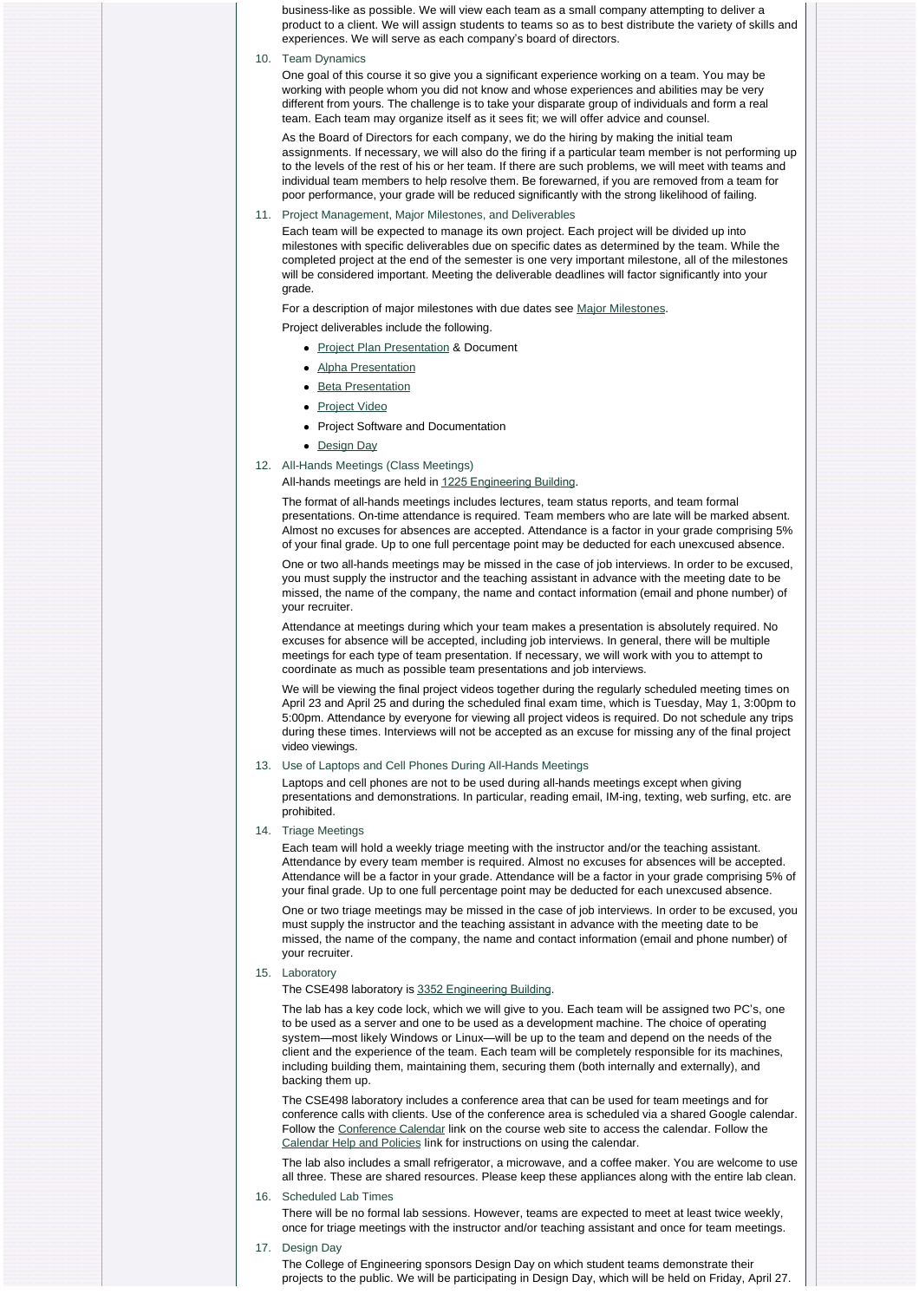business-like as possible. We will view each team as a small company attempting to deliver a product to a client. We will assign students to teams so as to best distribute the variety of skills and experiences. We will serve as each company's board of directors.

## 10. Team Dynamics

One goal of this course it so give you a significant experience working on a team. You may be working with people whom you did not know and whose experiences and abilities may be very different from yours. The challenge is to take your disparate group of individuals and form a real team. Each team may organize itself as it sees fit; we will offer advice and counsel.

As the Board of Directors for each company, we do the hiring by making the initial team assignments. If necessary, we will also do the firing if a particular team member is not performing up to the levels of the rest of his or her team. If there are such problems, we will meet with teams and individual team members to help resolve them. Be forewarned, if you are removed from a team for poor performance, your grade will be reduced significantly with the strong likelihood of failing.

11. Project Management, Major Milestones, and Deliverables

Each team will be expected to manage its own project. Each project will be divided up into milestones with specific deliverables due on specific dates as determined by the team. While the completed project at the end of the semester is one very important milestone, all of the milestones will be considered important. Meeting the deliverable deadlines will factor significantly into your grade.

For a description of major milestones with due dates see [Major Milestones.](http://www.capstone.cse.msu.edu/2012-01/schedules/major-milestones)

Project deliverables include the following.

- [Project Plan Presentation](http://www.capstone.cse.msu.edu/2012-01/schedules/major-milestones/#project-plan-presentations) & Document
- [Alpha Presentation](http://www.capstone.cse.msu.edu/2012-01/schedules/major-milestones/#alpha-presentations)
- [Beta Presentation](http://www.capstone.cse.msu.edu/2012-01/schedules/major-milestones/#beta-presentations)
- [Project Video](http://www.capstone.cse.msu.edu/2012-01/schedules/major-milestones/#project-videos)
- Project Software and Documentation
- [Design Day](http://www.capstone.cse.msu.edu/2012-01/schedules/major-milestones/#design-day)
- 12. All-Hands Meetings (Class Meetings)

## All-hands meetings are held in [1225 Engineering Building](http://www.capstone.cse.msu.edu/2012-01/other-links/maps-and-directions/engineering-building/?room=1225).

The format of all-hands meetings includes lectures, team status reports, and team formal presentations. On-time attendance is required. Team members who are late will be marked absent. Almost no excuses for absences are accepted. Attendance is a factor in your grade comprising 5% of your final grade. Up to one full percentage point may be deducted for each unexcused absence.

One or two all-hands meetings may be missed in the case of job interviews. In order to be excused, you must supply the instructor and the teaching assistant in advance with the meeting date to be missed, the name of the company, the name and contact information (email and phone number) of your recruiter.

Attendance at meetings during which your team makes a presentation is absolutely required. No excuses for absence will be accepted, including job interviews. In general, there will be multiple meetings for each type of team presentation. If necessary, we will work with you to attempt to coordinate as much as possible team presentations and job interviews.

We will be viewing the final project videos together during the regularly scheduled meeting times on April 23 and April 25 and during the scheduled final exam time, which is Tuesday, May 1, 3:00pm to 5:00pm. Attendance by everyone for viewing all project videos is required. Do not schedule any trips during these times. Interviews will not be accepted as an excuse for missing any of the final project video viewings.

## 13. Use of Laptops and Cell Phones During All-Hands Meetings

Laptops and cell phones are not to be used during all-hands meetings except when giving presentations and demonstrations. In particular, reading email, IM-ing, texting, web surfing, etc. are prohibited.

14. Triage Meetings

Each team will hold a weekly triage meeting with the instructor and/or the teaching assistant. Attendance by every team member is required. Almost no excuses for absences will be accepted. Attendance will be a factor in your grade. Attendance will be a factor in your grade comprising 5% of your final grade. Up to one full percentage point may be deducted for each unexcused absence.

One or two triage meetings may be missed in the case of job interviews. In order to be excused, you must supply the instructor and the teaching assistant in advance with the meeting date to be missed, the name of the company, the name and contact information (email and phone number) of your recruiter.

15. Laboratory

The CSE498 laboratory is [3352 Engineering Building](http://www.capstone.cse.msu.edu/2012-01/other-links/maps-and-directions/engineering-building/?room=3352).

The lab has a key code lock, which we will give to you. Each team will be assigned two PC's, one to be used as a server and one to be used as a development machine. The choice of operating system—most likely Windows or Linux—will be up to the team and depend on the needs of the client and the experience of the team. Each team will be completely responsible for its machines, including building them, maintaining them, securing them (both internally and externally), and backing them up.

The CSE498 laboratory includes a conference area that can be used for team meetings and for conference calls with clients. Use of the conference area is scheduled via a shared Google calendar. Follow the [Conference Calendar](http://www.capstone.cse.msu.edu/2012-01/schedules/conference-calendar) link on the course web site to access the calendar. Follow the [Calendar Help and Policies](http://www.capstone.cse.msu.edu/2012-01/schedules/conference-calendar/help-and-policies) link for instructions on using the calendar.

The lab also includes a small refrigerator, a microwave, and a coffee maker. You are welcome to use all three. These are shared resources. Please keep these appliances along with the entire lab clean.

16. Scheduled Lab Times

There will be no formal lab sessions. However, teams are expected to meet at least twice weekly, once for triage meetings with the instructor and/or teaching assistant and once for team meetings.

17. Design Day

The College of Engineering sponsors Design Day on which student teams demonstrate their projects to the public. We will be participating in Design Day, which will be held on Friday, April 27.